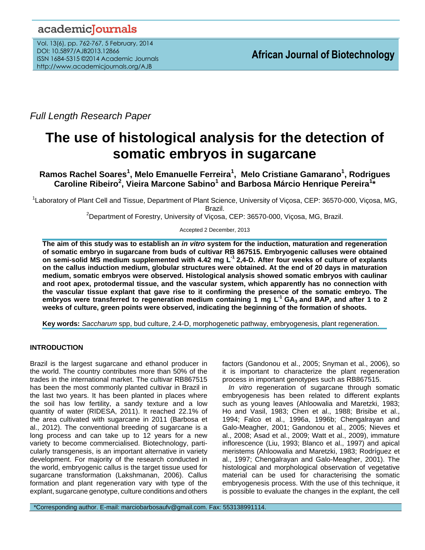# academicJournals

Vol. 13(6), pp. 762-767, 5 February, 2014 DOI: 10.5897/AJB2013.12866 ISSN 1684-5315 ©2014 Academic Journals http://www.academicjournals.org/AJB

*Full Length Research Paper*

# **The use of histological analysis for the detection of somatic embryos in sugarcane**

**Ramos Rachel Soares<sup>1</sup> , Melo Emanuelle Ferreira<sup>1</sup> , Melo Cristiane Gamarano<sup>1</sup> , Rodrigues Caroline Ribeiro<sup>2</sup> , Vieira Marcone Sabino<sup>1</sup> and Barbosa Márcio Henrique Pereira<sup>1</sup> \***

<sup>1</sup>Laboratory of Plant Cell and Tissue, Department of Plant Science, University of Viçosa, CEP: 36570-000, Viçosa, MG, Brazil.

<sup>2</sup>Department of Forestry, University of Viçosa, CEP: 36570-000, Viçosa, MG, Brazil.

Accepted 2 December, 2013

**The aim of this study was to establish an** *in vitro* **system for the induction, maturation and regeneration of somatic embryo in sugarcane from buds of cultivar RB 867515. Embryogenic calluses were obtained on semi-solid MS medium supplemented with 4.42 mg L -1 2,4-D. After four weeks of culture of explants on the callus induction medium, globular structures were obtained. At the end of 20 days in maturation medium, somatic embryos were observed. Histological analysis showed somatic embryos with caulinar and root apex, protodermal tissue, and the vascular system, which apparently has no connection with the vascular tissue explant that gave rise to it confirming the presence of the somatic embryo. The embryos were transferred to regeneration medium containing 1 mg L-1 GA3 and BAP, and after 1 to 2 weeks of culture, green points were observed, indicating the beginning of the formation of shoots.**

**Key words:** *Saccharum* spp, bud culture, 2.4-D, morphogenetic pathway, embryogenesis, plant regeneration.

# **INTRODUCTION**

Brazil is the largest sugarcane and ethanol producer in the world. The country contributes more than 50% of the trades in the international market. The cultivar RB867515 has been the most commonly planted cultivar in Brazil in the last two years. It has been planted in places where the soil has low fertility, a sandy texture and a low quantity of water (RIDESA, 2011). It reached 22.1% of the area cultivated with sugarcane in 2011 (Barbosa et al., 2012). The conventional breeding of sugarcane is a long process and can take up to 12 years for a new variety to become commercialised. Biotechnology, particularly transgenesis, is an important alternative in variety development. For majority of the research conducted in the world, embryogenic callus is the target tissue used for sugarcane transformation (Lakshmanan, 2006). Callus formation and plant regeneration vary with type of the explant, sugarcane genotype, culture conditions and others factors (Gandonou et al., 2005; Snyman et al., 2006), so it is important to characterize the plant regeneration process in important genotypes such as RB867515.

*In vitro* regeneration of sugarcane through somatic embryogenesis has been related to different explants such as young leaves (Ahloowalia and Maretzki, 1983; Ho and Vasil, 1983; Chen et al., 1988; Brisibe et al., 1994; Falco et al., 1996a, 1996b; Chengalrayan and Galo-Meagher, 2001; Gandonou et al., 2005; Nieves et al., 2008; Asad et al., 2009; Watt et al., 2009), immature inflorescence (Liu, 1993; Blanco et al., 1997) and apical meristems (Ahloowalia and Maretzki, 1983; Rodríguez et al., 1997; Chengalrayan and Galo-Meagher, 2001). The histological and morphological observation of vegetative material can be used for characterising the somatic embryogenesis process. With the use of this technique, it is possible to evaluate the changes in the explant, the cell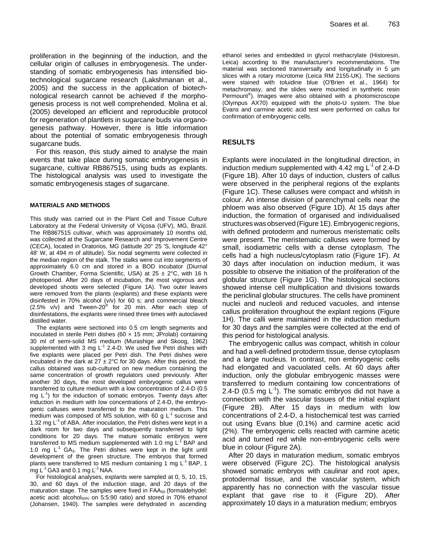proliferation in the beginning of the induction, and the cellular origin of calluses in embryogenesis. The understanding of somatic embryogenesis has intensified biotechnological sugarcane research (Lakshmanan et al., 2005) and the success in the application of biotechnological research cannot be achieved if the morphogenesis process is not well comprehended. Molina et al. (2005) developed an efficient and reproducible protocol for regeneration of plantlets in sugarcane buds via organogenesis pathway. However, there is little information about the potential of somatic embryogenesis through sugarcane buds.

For this reason, this study aimed to analyse the main events that take place during somatic embryogenesis in sugarcane, cultivar RB867515, using buds as explants. The histological analysis was used to investigate the somatic embryogenesis stages of sugarcane.

#### **MATERIALS AND METHODS**

This study was carried out in the Plant Cell and Tissue Culture Laboratory at the Federal University of Viçosa (UFV), MG, Brazil. The RB867515 cultivar, which was approximately 10 months old, was collected at the Sugarcane Research and Improvement Centre (CECA), located in Oratorios, MG (latitude 20° 25 'S, longitude 42° 48' W, at 494 m of altitude). Six nodal segments were collected in the median region of the stalk. The stalks were cut into segments of approximately 6.0 cm and stored in a BOD incubator (Diurnal Growth Chamber, Forma Scientific, USA) at  $25 \pm 2^{\circ}$ C, with 16 h photoperiod. After 20 days of incubation, the most vigorous and developed shoots were selected (Figure 1A). Two outer leaves were removed from the plants (explants) and these explants were disinfested in 70% alcohol (v/v) for 60 s; and commercial bleach  $(2.5\% \text{ v/v})$  and Tween-20<sup>®</sup> for 20 min. After each step of disinfestations, the explants were rinsed three times with autoclaved distilled water.

The explants were sectioned into 0.5 cm length segments and inoculated in sterile Petri dishes (60  $\times$  15 mm; JProlab) containing 30 ml of semi-solid MS medium (Murashige and Skoog, 1962) supplemented with 3 mg  $L^{-1}$  2.4-D. We used five Petri dishes with five explants were placed per Petri dish. The Petri dishes were incubated in the dark at  $27 \pm 2^{\circ}$ C for 30 days. After this period, the callus obtained was sub-cultured on new medium containing the same concentration of growth regulators used previously. After another 30 days, the most developed embryogenic callus were transferred to culture medium with a low concentration of 2.4-D (0.5 mg  $L^{-1}$ ) for the induction of somatic embryos. Twenty days after induction in medium with low concentrations of 2.4-D, the embryogenic calluses were transferred to the maturation medium. This medium was composed of MS solution, with 60 g  $L^{-1}$  sucrose and 1.32 mg  $L^{-1}$  of ABA. After inoculation, the Petri dishes were kept in a dark room for two days and subsequently transferred to light conditions for 20 days. The mature somatic embryos were transferred to MS medium supplemented with 1.0 mg  $L^{-1}$  BAP and 1.0 mg  $L^{-1}$  GA<sub>3</sub>. The Petri dishes were kept in the light until development of the green structure. The embryos that formed plants were transferred to MS medium containing 1 mg  $L^{-1}$  BAP, 1 mg  $L^{-1}$  GA3 and 0.1 mg  $L^{-1}$  NAA.

For histological analyses, explants were sampled at 0, 5, 10, 15, 30, and 60 days of the induction stage, and 20 days of the maturation stage. The samples were fixed in  $FAA_{50}$  (formaldehydel: acetic acid: alcohol<sub>50%</sub> on 5:5:90 ratio) and stored in 70% ethanol (Johansen, 1940). The samples were dehydrated in ascending

ethanol series and embedded in glycol methacrylate (Historesin, Leica) according to the manufacturer's recommendations. The material was sectioned transversally and longitudinally in 5  $\mu$ m slices with a rotary microtome (Leica RM 2155-UK). The sections were stained with toluidine blue (O'Brien et al., 1964) for metachromasy, and the slides were mounted in synthetic resin Permount® ). Images were also obtained with a photomicroscope (Olympus AX70) equipped with the photo-U system. The blue Evans and carmine acetic acid test were performed on callus for confirmation of embryogenic cells.

### **RESULTS**

Explants were inoculated in the longitudinal direction, in induction medium supplemented with 4.42 mg  $L^{-1}$  of 2.4-D (Figure 1B). After 10 days of induction, clusters of callus were observed in the peripheral regions of the explants (Figure 1C). These calluses were compact and whitish in colour. An intense division of parenchymal cells near the phloem was also observed (Figure 1D). At 15 days after induction, the formation of organised and individualised structures was observed (Figure 1E).Embryogenic regions, with defined protoderm and numerous meristematic cells were present. The meristematic calluses were formed by small, isodiametric cells with a dense cytoplasm. The cells had a high nucleus/cytoplasm ratio (Figure 1F). At 30 days after inoculation on induction medium, it was possible to observe the initiation of the proliferation of the globular structure (Figure 1G). The histological sections showed intense cell multiplication and divisions towards the periclinal globular structures. The cells have prominent nuclei and nucleoli and reduced vacuoles, and intense callus proliferation throughout the explant regions (Figure 1H). The calli were maintained in the induction medium for 30 days and the samples were collected at the end of this period for histological analysis.

The embryogenic callus was compact, whitish in colour and had a well-defined protoderm tissue, dense cytoplasm and a large nucleus. In contrast, non embryogenic cells had elongated and vacuolated cells. At 60 days after induction, only the globular embryogenic masses were transferred to medium containing low concentrations of 2.4-D (0.5 mg  $L^{-1}$ ). The somatic embryos did not have a connection with the vascular tissues of the initial explant (Figure 2B). After 15 days in medium with low concentrations of 2.4-D, a histochemical test was carried out using Evans blue (0.1%) and carmine acetic acid (2%). The embryogenic cells reacted with carmine acetic acid and turned red while non-embryogenic cells were blue in colour (Figure 2A).

After 20 days in maturation medium, somatic embryos were observed (Figure 2C). The histological analysis showed somatic embryos with caulinar and root apex, protodermal tissue, and the vascular system, which apparently has no connection with the vascular tissue explant that gave rise to it (Figure 2D). After approximately 10 days in a maturation medium; embryos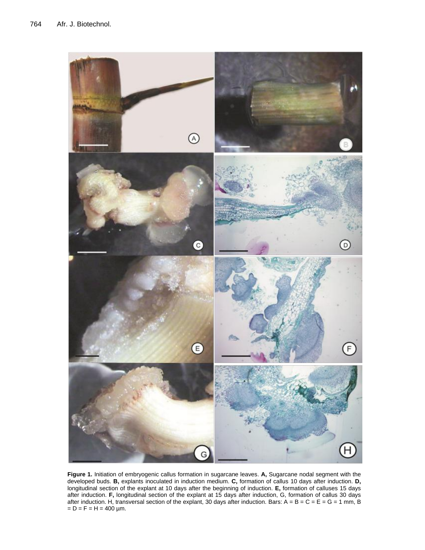

**Figure 1.** Initiation of embryogenic callus formation in sugarcane leaves. **A,** Sugarcane nodal segment with the developed buds. **B,** explants inoculated in induction medium. **C,** formation of callus 10 days after induction. **D,** longitudinal section of the explant at 10 days after the beginning of induction. **E,** formation of calluses 15 days after induction. **F,** longitudinal section of the explant at 15 days after induction, G, formation of callus 30 days after induction. H, transversal section of the explant, 30 days after induction. Bars:  $A = B = C = E = G = 1$  mm, B  $= D = F = H = 400 \mu m$ .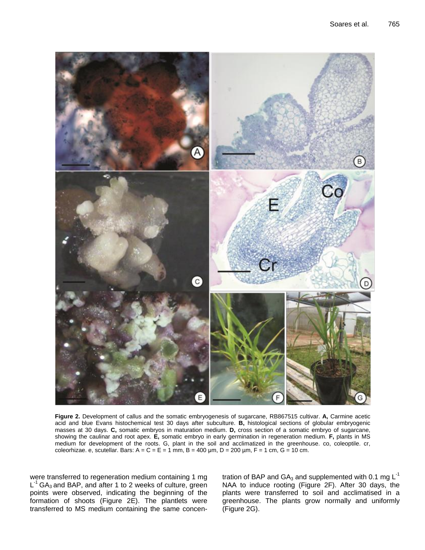

**Figure 2.** Development of callus and the somatic embryogenesis of sugarcane, RB867515 cultivar. **A,** Carmine acetic acid and blue Evans histochemical test 30 days after subculture. **B,** histological sections of globular embryogenic masses at 30 days. **C,** somatic embryos in maturation medium. **D,** cross section of a somatic embryo of sugarcane, showing the caulinar and root apex. **E,** somatic embryo in early germination in regeneration medium. **F,** plants in MS medium for development of the roots. G, plant in the soil and acclimatized in the greenhouse. co, coleoptile. cr, coleorhizae. e, scutellar. Bars:  $A = C = E = 1$  mm,  $B = 400$  µm,  $D = 200$  µm,  $F = 1$  cm,  $G = 10$  cm.

were transferred to regeneration medium containing 1 mg  $L^{-1}$  GA<sub>3</sub> and BAP, and after 1 to 2 weeks of culture, green points were observed, indicating the beginning of the formation of shoots (Figure 2E). The plantlets were transferred to MS medium containing the same concentration of BAP and  $GA_3$  and supplemented with 0.1 mg  $L^{-1}$ NAA to induce rooting (Figure 2F). After 30 days, the plants were transferred to soil and acclimatised in a greenhouse. The plants grow normally and uniformly (Figure 2G).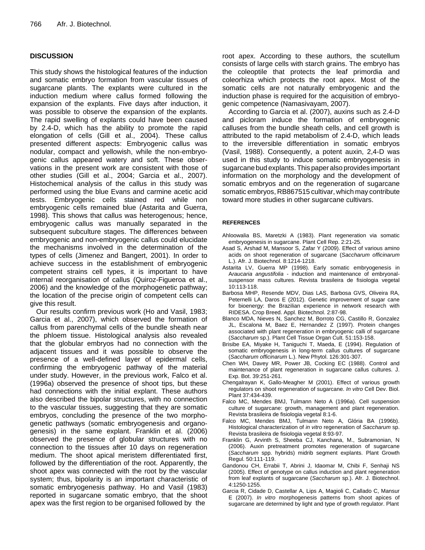## **DISCUSSION**

This study shows the histological features of the induction and somatic embryo formation from vascular tissues of sugarcane plants. The explants were cultured in the induction medium where callus formed following the expansion of the explants. Five days after induction, it was possible to observe the expansion of the explants. The rapid swelling of explants could have been caused by 2.4-D, which has the ability to promote the rapid elongation of cells (Gill et al., 2004). These callus presented different aspects: Embryogenic callus was nodular, compact and yellowish, while the non-embryogenic callus appeared watery and soft. These observations in the present work are consistent with those of other studies (Gill et al., 2004; Garcia et al., 2007). Histochemical analysis of the callus in this study was performed using the blue Evans and carmine acetic acid tests. Embryogenic cells stained red while non embryogenic cells remained blue (Astarita and Guerra, 1998). This shows that callus was heterogenous; hence, embryogenic callus was manually separated in the subsequent subculture stages. The differences between embryogenic and non-embryogenic callus could elucidate the mechanisms involved in the determination of the types of cells (Jimenez and Bangert, 2001). In order to achieve success in the establishment of embryogenic competent strains cell types, it is important to have internal reorganisation of callus (Quiroz-Figueroa et al., 2006) and the knowledge of the morphogenetic pathway; the location of the precise origin of competent cells can give this result.

Our results confirm previous work (Ho and Vasil, 1983; Garcia et al., 2007), which observed the formation of callus from parenchymal cells of the bundle sheath near the phloem tissue. Histological analysis also revealed that the globular embryos had no connection with the adjacent tissues and it was possible to observe the presence of a well-defined layer of epidermal cells, confirming the embryogenic pathway of the material under study. However, in the previous work, Falco et al. (1996a) observed the presence of shoot tips, but these had connections with the initial explant. These authors also described the bipolar structures, with no connection to the vascular tissues, suggesting that they are somatic embryos, concluding the presence of the two morphogenetic pathways (somatic embryogenesis and organogenesis) in the same explant. Franklin et al. (2006) observed the presence of globular structures with no connection to the tissues after 10 days on regeneration medium. The shoot apical meristem differentiated first, followed by the differentiation of the root. Apparently, the shoot apex was connected with the root by the vascular system; thus, bipolarity is an important characteristic of somatic embryogenesis pathway. Ho and Vasil (1983) reported in sugarcane somatic embryo, that the shoot apex was the first region to be organised followed by the

root apex. According to these authors, the scutellum consists of large cells with starch grains. The embryo has the coleoptile that protects the leaf primordia and coleorhiza which protects the root apex. Most of the somatic cells are not naturally embryogenic and the induction phase is required for the acquisition of embryogenic competence (Namasivayam, 2007).

According to Garcia et al. (2007), auxins such as 2.4-D and picloram induce the formation of embryogenic calluses from the bundle sheath cells, and cell growth is attributed to the rapid metabolism of 2.4-D, which leads to the irreversible differentiation in somatic embryos (Vasil, 1988). Consequently, a potent auxin, 2,4-D was used in this study to induce somatic embryogenesis in sugarcane bud explants.This paper also provides important information on the morphology and the development of somatic embryos and on the regeneration of sugarcane somatic embryos, RB867515 cultivar, which may contribute toward more studies in other sugarcane cultivars.

#### **REFERENCES**

- Ahloowalia BS, Maretzki A (1983). Plant regeneration via somatic embryogenesis in sugarcane. Plant Cell Rep. 2:21-25.
- Asad S, Arshad M, Mansoor S, Zafar Y (2009). Effect of various amino acids on shoot regeneration of sugarcane (*Saccharum officinarum*  L.). Afr. J. Biotechnol. 8:1214-1218.
- Astarita LV, Guerra MP (1998). Early somatic embryogenesis in A*raucaria angustifolia* - induction and maintenance of embryonalsuspensor mass cultures. Revista brasileira de fisiologia vegetal 10:113-118.
- Barbosa MHP, Resende MDV, Dias LAS, Barbosa GVS, Oliveira RA, Peternelli LA, Daros E (2012). Genetic improvement of sugar cane for bioenergy: the Brazilian experience in network research with RIDESA. Crop Breed. Appl. Biotechnol. 2:87-98.
- Blanco MDA, Nieves N, Sanchez M, Borroto CG, Castillo R, Gonzalez JL, Escalona M, Baez E, Hernandez Z (1997). Protein changes associated with plant regeneration in embryogenic calli of sugarcane (*Saccharum* sp.). Plant Cell Tissue Organ Cult. 51:153-158.
- Brisibe EA, Miyake H, Taniguchi T, Maeda, E (1994). Regulation of somatic embryogenesis in long-term callus cultures of sugarcane (*Saccharum officinarum* L.). New Phytol. 126:301-307.
- Chen WH, Davey MR, Power JB, Cocking EC (1988). Control and maintenance of plant regeneration in sugarcane callus cultures. J. Exp. Bot. 39:251-261.
- Chengalrayan K, Gallo-Meagher M (2001). Effect of various growth regulators on shoot regeneration of sugarcane. *In vitro* Cell Dev. Biol. Plant 37:434-439.
- Falco MC, Mendes BMJ, Tulmann Neto A (1996a). Cell suspension culture of sugarcane: growth, management and plant regeneration. Revista brasileira de fisiologia vegetal 8:1-6.
- Falco MC, Mendes BMJ, Tulmann Neto A, Glória BA (1996b). Histological characterization of *in vitro* regeneration of *Saccharum* sp. Revista brasileira de fisiologia vegetal 8:93-97.
- Franklin G, Arvinth S, Sheeba CJ, Kanchana, M., Subramonian, N (2006). Auxin pretreatment promotes regeneration of sugarcane (*Saccharum* spp. hybrids) midrib segment explants. Plant Growth Regul. 50:111-119.
- Gandonou CH, Errabii T, Abrini J, Idaomar M, Chibi F, Senhaji NS (2005). Effect of genotype on callus induction and plant regeneration from leaf explants of sugarcane (*Saccharum* sp.). Afr. J. Biotechnol. 4:1250-1255.
- Garcia R, Cidade D, Castellar A, Lips A, Magioli C, Callado C, Mansur E (2007). *In vitro* morphogenesis patterns from shoot apices of sugarcane are determined by light and type of growth regulator. Plant